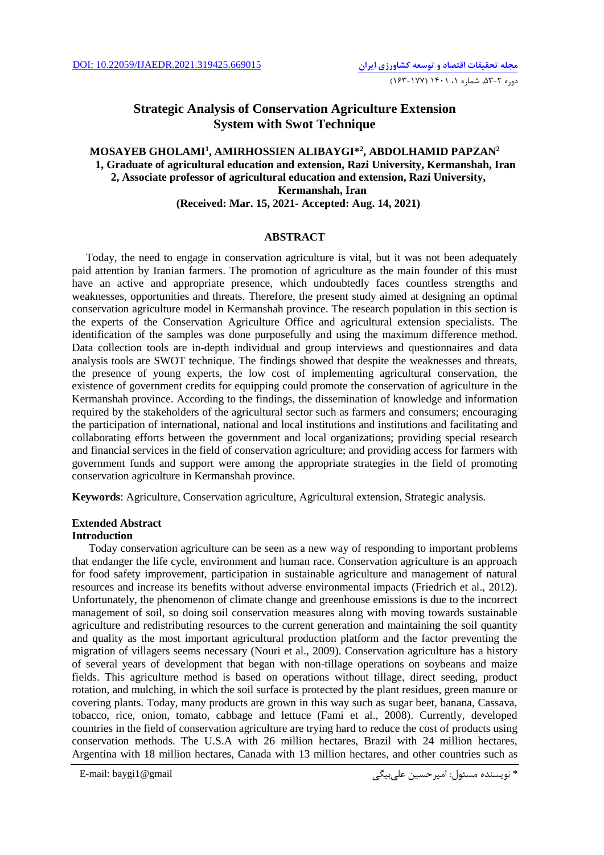## **Strategic Analysis of Conservation Agriculture Extension System with Swot Technique**

### **MOSAYEB GHOLAMI<sup>1</sup> , AMIRHOSSIEN ALIBAYGI\*<sup>2</sup> , ABDOLHAMID PAPZAN<sup>2</sup> 1, Graduate of agricultural education and extension, Razi University, Kermanshah, Iran 2, Associate professor of agricultural education and extension, Razi University, Kermanshah, Iran (Received: Mar. 15, 2021- Accepted: Aug. 14, 2021)**

#### **ABSTRACT**

 Today, the need to engage in conservation agriculture is vital, but it was not been adequately paid attention by Iranian farmers. The promotion of agriculture as the main founder of this must have an active and appropriate presence, which undoubtedly faces countless strengths and weaknesses, opportunities and threats. Therefore, the present study aimed at designing an optimal conservation agriculture model in Kermanshah province. The research population in this section is the experts of the Conservation Agriculture Office and agricultural extension specialists. The identification of the samples was done purposefully and using the maximum difference method. Data collection tools are in-depth individual and group interviews and questionnaires and data analysis tools are SWOT technique. The findings showed that despite the weaknesses and threats, the presence of young experts, the low cost of implementing agricultural conservation, the existence of government credits for equipping could promote the conservation of agriculture in the Kermanshah province. According to the findings, the dissemination of knowledge and information required by the stakeholders of the agricultural sector such as farmers and consumers; encouraging the participation of international, national and local institutions and institutions and facilitating and collaborating efforts between the government and local organizations; providing special research and financial services in the field of conservation agriculture; and providing access for farmers with government funds and support were among the appropriate strategies in the field of promoting conservation agriculture in Kermanshah province.

**Keywords**: Agriculture, Conservation agriculture, Agricultural extension, Strategic analysis.

### **Extended Abstract**

### **Introduction**

 Today conservation agriculture can be seen as a new way of responding to important problems that endanger the life cycle, environment and human race. Conservation agriculture is an approach for food safety improvement, participation in sustainable agriculture and management of natural resources and increase its benefits without adverse environmental impacts (Friedrich et al., 2012). Unfortunately, the phenomenon of climate change and greenhouse emissions is due to the incorrect management of soil, so doing soil conservation measures along with moving towards sustainable agriculture and redistributing resources to the current generation and maintaining the soil quantity and quality as the most important agricultural production platform and the factor preventing the migration of villagers seems necessary (Nouri et al., 2009). Conservation agriculture has a history of several years of development that began with non-tillage operations on soybeans and maize fields. This agriculture method is based on operations without tillage, direct seeding, product rotation, and mulching, in which the soil surface is protected by the plant residues, green manure or covering plants. Today, many products are grown in this way such as sugar beet, banana, Cassava, tobacco, rice, onion, tomato, cabbage and lettuce (Fami et al., 2008). Currently, developed countries in the field of conservation agriculture are trying hard to reduce the cost of products using conservation methods. The U.S.A with 26 million hectares, Brazil with 24 million hectares, Argentina with 18 million hectares, Canada with 13 million hectares, and other countries such as

```
* نويسنده مسئول: امیرحسین علیبیگی gmail@1baygi :mail-E
```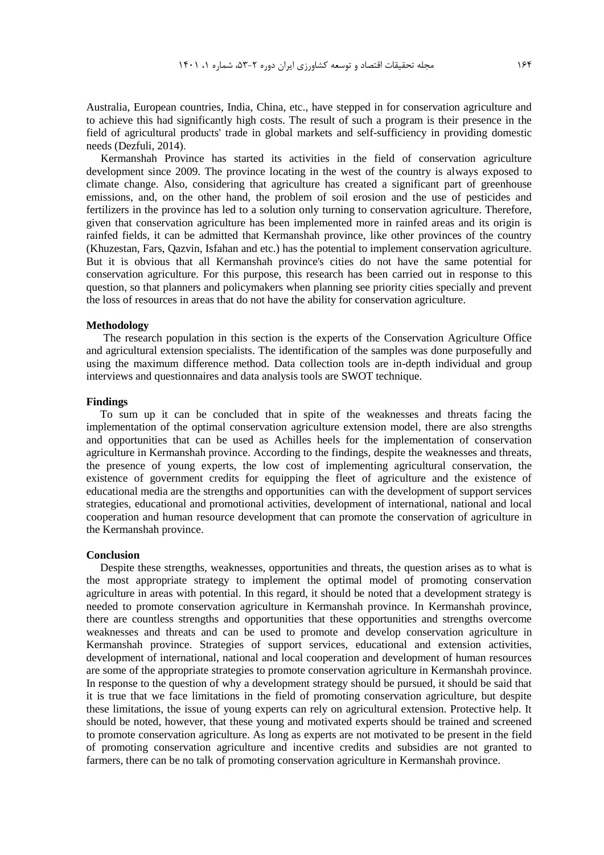Australia, European countries, India, China, etc., have stepped in for conservation agriculture and to achieve this had significantly high costs. The result of such a program is their presence in the field of agricultural products' trade in global markets and self-sufficiency in providing domestic needs (Dezfuli, 2014).

Kermanshah Province has started its activities in the field of conservation agriculture development since 2009. The province locating in the west of the country is always exposed to climate change. Also, considering that agriculture has created a significant part of greenhouse emissions, and, on the other hand, the problem of soil erosion and the use of pesticides and fertilizers in the province has led to a solution only turning to conservation agriculture. Therefore, given that conservation agriculture has been implemented more in rainfed areas and its origin is rainfed fields, it can be admitted that Kermanshah province, like other provinces of the country (Khuzestan, Fars, Qazvin, Isfahan and etc.) has the potential to implement conservation agriculture. But it is obvious that all Kermanshah province's cities do not have the same potential for conservation agriculture. For this purpose, this research has been carried out in response to this question, so that planners and policymakers when planning see priority cities specially and prevent the loss of resources in areas that do not have the ability for conservation agriculture.

#### **Methodology**

The research population in this section is the experts of the Conservation Agriculture Office and agricultural extension specialists. The identification of the samples was done purposefully and using the maximum difference method. Data collection tools are in-depth individual and group interviews and questionnaires and data analysis tools are SWOT technique.

#### **Findings**

 To sum up it can be concluded that in spite of the weaknesses and threats facing the implementation of the optimal conservation agriculture extension model, there are also strengths and opportunities that can be used as Achilles heels for the implementation of conservation agriculture in Kermanshah province. According to the findings, despite the weaknesses and threats, the presence of young experts, the low cost of implementing agricultural conservation, the existence of government credits for equipping the fleet of agriculture and the existence of educational media are the strengths and opportunities can with the development of support services strategies, educational and promotional activities, development of international, national and local cooperation and human resource development that can promote the conservation of agriculture in the Kermanshah province.

#### **Conclusion**

 Despite these strengths, weaknesses, opportunities and threats, the question arises as to what is the most appropriate strategy to implement the optimal model of promoting conservation agriculture in areas with potential. In this regard, it should be noted that a development strategy is needed to promote conservation agriculture in Kermanshah province. In Kermanshah province, there are countless strengths and opportunities that these opportunities and strengths overcome weaknesses and threats and can be used to promote and develop conservation agriculture in Kermanshah province. Strategies of support services, educational and extension activities, development of international, national and local cooperation and development of human resources are some of the appropriate strategies to promote conservation agriculture in Kermanshah province. In response to the question of why a development strategy should be pursued, it should be said that it is true that we face limitations in the field of promoting conservation agriculture, but despite these limitations, the issue of young experts can rely on agricultural extension. Protective help. It should be noted, however, that these young and motivated experts should be trained and screened to promote conservation agriculture. As long as experts are not motivated to be present in the field of promoting conservation agriculture and incentive credits and subsidies are not granted to farmers, there can be no talk of promoting conservation agriculture in Kermanshah province.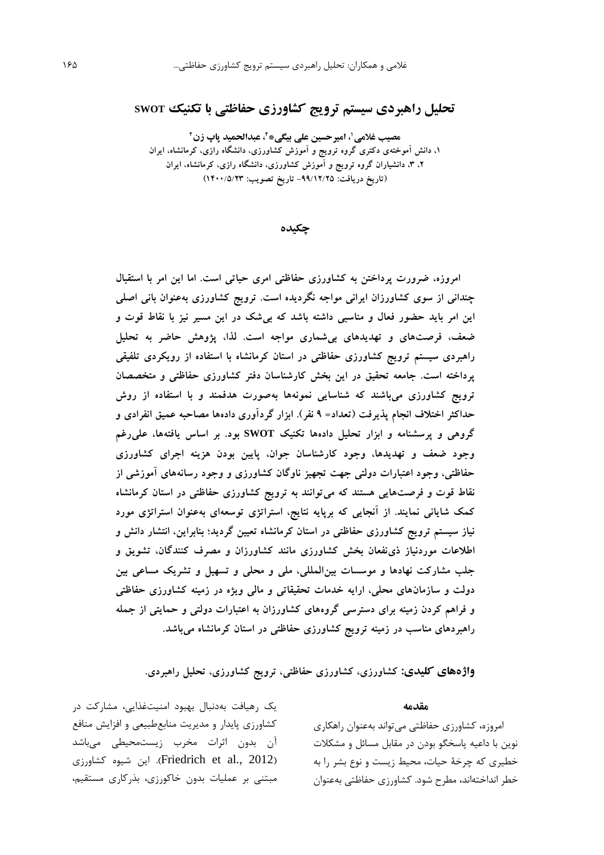# **تحلیل راهبردی سیستم ترویج کشاورزی حفاظتی با تکنیک SWOT**

**2 ، عبدالحمید پاپ زن <sup>2</sup> ، امیرحسین علی بیگی\* <sup>1</sup> مصیب غالمی ،1 دانش آموختهی دکتری گروه ترویج و آموزش کشاورزی، دانشگاه رازی، کرمانشاه، ایران ،2 ،3 دانشیاران گروه ترویج و آموزش کشاورزی، دانشگاه رازی، کرمانشاه، ایران )تاریخ دریافت: -99/12/25 تاریخ تصویب: 1400/5/23(**

**چکیده**

**امروزه، ضرورت پرداختن به کشاورزی حفاظتی امری حیاتی است. اما این امر با استقبال چندانی از سوی کشاورزان ایرانی مواجه نگردیده است. ترویج کشاورزی بهعنوان بانی اصلی این امر باید حضور فعال و مناسبی داشته باشد که بیشک در این مسیر نیز با نقاط قوت و ضعف، فرصتهای و تهدیدهای بیشماری مواجه است. لذا، پژوهش حاضر به تحلیل راهبردی سیستم ترویج کشاورزی حفاظتی در استان کرمانشاه با استفاده از رویکردی تلفیقی پرداخته است. جامعه تحقیق در این بخش کارشناسان دفتر کشاورزی حفاظتی و متخصصان ترویج کشاورزی میباشند که شناسایی نمونهها بهصورت هدفمند و با استفاده از روش حداکثر اختالف انجام پذیرفت )تعداد= 9 نفر(. ابزار گردآوری دادهها مصاحبه عمیق انفرادی و گروهی و پرسشنامه و ابزار تحلیل دادهها تکنیک SWOT بود. بر اساس یافتهها، علیرغم وجود ضعف و تهدیدها، وجود کارشناسان جوان، پایین بودن هزینه اجرای کشاورزی حفاظتی، وجود اعتبارات دولتی جهت تجهیز ناوگان کشاورزی و وجود رسانههای آموزشی از نقاط قوت و فرصتهایی هستند که میتوانند به ترویج کشاورزی حفاظتی در استان کرمانشاه کمک شایانی نمایند. از آنجایی که برپایه نتایج، استراتژی توسعهای بهعنوان استراتژی مورد نیاز سیستم ترویج کشاورزی حفاظتی در استان کرمانشاه تعیین گردید؛ بنابراین، انتشار دانش و اطالعات موردنیاز ذینفعان بخش کشاورزی مانند کشاورزان و مصرف کنندگان، تشویق و جلب مشارکت نهادها و موسسات بینالمللی، ملی و محلی و تسهیل و تشریک مساعی بین دولت و سازمانهای محلی، ارایه خدمات تحقیقاتی و مالی ویژه در زمینه کشاورزی حفاظتی و فراهم کردن زمینه برای دسترسی گروههای کشاورزان به اعتبارات دولتی و حمایتی از جمله راهبردهای مناسب در زمینه ترویج کشاورزی حفاظتی در استان کرمانشاه میباشد.**

**واژههای کلیدی: کشاورزی، کشاورزی حفاظتی، ترویج کشاورزی، تحلیل راهبردی.**

#### **مقدمه**

امروزه، کشاورزي حفاظتی میتواند بهعنوان راهکاري نوين با داعیه پاسخگو بودن در مقابل مسائل و مشکالت خطیري که چرخۀ حیات، محیط زيست و نوع بشر را به خطر انداختهاند، مطرح شود. کشاورزي حفاظتی بهعنوان

يک رهیافت بهدنبال بهبود امنیتغذايی، مشارکت در کشاورزي پايدار و مديريت منابعطبیعی و افزايش منافع آن بدون اثرات مخرب زيستمحیطی میباشد اين شيوه كشاورزي).(Friedrich et al., 2012). مبتنی بر عملیات بدون خاکورزي، بذرکاري مستقیم،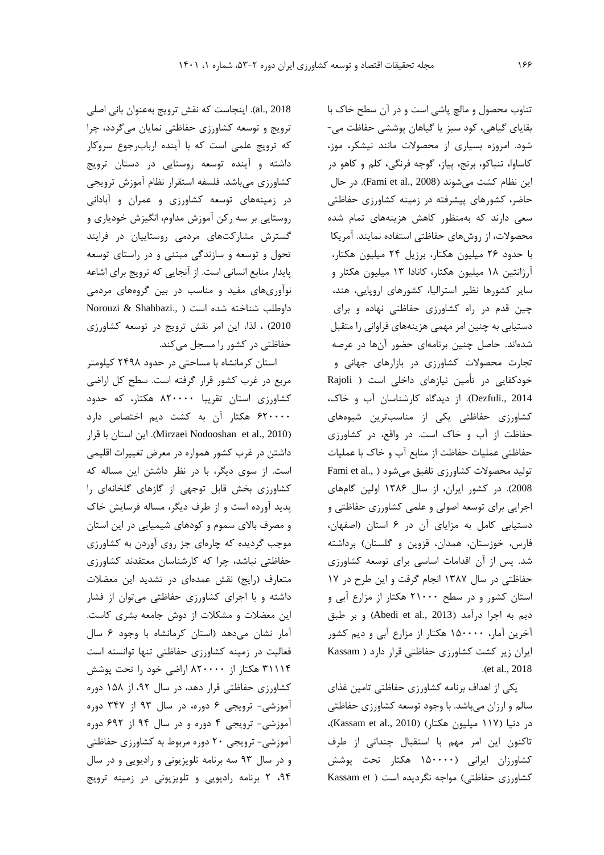2018 .,al). اينجاست که نقش ترويج بهعنوان بانی اصلی ترويج و توسعه کشاورزي حفاظتی نمايان میگردد، چرا که ترويج علمی است که با آينده اربابرجوع سروکار داشته و آينده توسعه روستايی در دستان ترويج کشاورزي میباشد. فلسفه استقرار نظام آموزش ترويجی در زمینههاي توسعه کشاورزي و عمران و آبادانی روستايی بر سه رکن آموزش مداوم، انگیزش خودياري و گسترش مشارکتهاي مردمی روستايیان در فرايند تحول و توسعه و سازندگی مبتنی و در راستاي توسعه پايدار منابع انسانی است. از آنجايی که ترويج براي اشاعه نوآوريهاي مفید و مناسب در بین گروههاي مردمی داوطلب شناخته شده است ( ,Norouzi & Shahbazi 2010( ، لذا، اين امر نقش ترويج در توسعه کشاورزي حفاظتی در کشور را مسجل میکند.

استان کرمانشاه با مساحتی در حدود 2498 کیلومتر مربع در غرب کشور قرار گرفته است. سطح کل اراضی کشاورزي استان تقريبا 820000 هکتار، که حدود 620000 هکتار آن به کشت ديم اختصاص دارد (Mirzaei Nodooshan et al., 2010). اين استان با قرار داشتن در غرب کشور همواره در معرض تغییرات اقلیمی است. از سوي ديگر، با در نظر داشتن اين مساله که کشاورزي بخش قابل توجهی از گازهاي گلخانهاي را پديد آورده است و از طرف ديگر، مساله فرسايش خاک و مصرف باالي سموم و کودهاي شیمیايی در اين استان موجب گرديده که چارهاي جز روي آوردن به کشاورزي حفاظتی نباشد، چرا که کارشناسان معتقدند کشاورزي متعارف (رايج) نقش عمدهاي در تشديد اين معضلات داشته و با اجراي کشاورزي حفاظتی میتوان از فشار اين معضالت و مشکالت از دوش جامعه بشري کاست. آمار نشان میدهد )استان کرمانشاه با وجود 6 سال فعالیت در زمینه کشاورزي حفاظتی تنها توانسته است 31114 هکتار از 820000 اراضی خود را تحت پوشش کشاورزي حفاظتی قرار دهد، در سال ،92 از 158 دوره آموزشی- ترويجی 6 دوره، در سال 93 از 347 دوره آموزشی- ترويجی 4 دوره و در سال 94 از 692 دوره آموزشی- ترويجی 20 دوره مربوط به کشاورزي حفاظتی و در سال 93 سه برنامه تلويزيونی و راديويی و در سال ،94 2 برنامه راديويی و تلويزيونی در زمینه ترويج

تناوب محصول و مالچ پاشی است و در آن سطح خاک با بقاياي گیاهی، کود سبز يا گیاهان پوششی حفاظت می- شود. امروزه بسیاري از محصوالت مانند نیشکر، موز، کاساوا، تنباکو، برنج، پیاز، گوجه فرنگی، کلم و کاهو در اين نظام كشت ميشوند (Fami et al., 2008). در حال حاضر، کشورهاي پیشرفته در زمینه کشاورزي حفاظتی سعی دارند که بهمنظور کاهش هزينههاي تمام شده محصوالت، از روشهاي حفاظتی استفاده نمايند. آمريکا با حدود 26 میلیون هکتار، برزيل 24 میلیون هکتار، آرژانتین 18 میلیون هکتار، کانادا 13 میلیون هکتار و ساير کشورها نظیر استرالیا، کشورهاي اروپايی، هند، چین قدم در راه کشاورزي حفاظتی نهاده و براي دستیابی به چنین امر مهمی هزينههاي فراوانی را متقبل شدهاند. حاصل چنین برنامهاي حضور آنها در عرصه تجارت محصوالت کشاورزي در بازارهاي جهانی و خودکفايی در تأمین نیازهاي داخلی است ) Rajoli 2014 .,Dezfuli). از ديدگاه کارشناسان آب و خاک، کشاورزي حفاظتی يکی از مناسبترين شیوههاي حفاظت از آب و خاک است. در واقع، در کشاورزي حفاظتی عملیات حفاظت از منابع آب و خاک با عملیات تولید محصولات کشاورزی تلفیق میشود ( ,Fami et al 2008(. در کشور ايران، از سال 1386 اولین گامهاي اجرايی براي توسعه اصولی و علمی کشاورزي حفاظتی و دستیابی کامل به مزاياي آن در 6 استان )اصفهان، فارس، خوزستان، همدان، قزوين و گلستان) برداشته شد. پس از آن اقدامات اساسی براي توسعه کشاورزي حفاظتی در سال 1387 انجام گرفت و اين طرح در 17 استان کشور و در سطح 21000 هکتار از مزارع آبی و ديم به اجرا درآمد (Abedi et al., 2013) و بر طبق آخرين آمار، 150000 هکتار از مزارع آبی و ديم کشور ايران زير کشت کشاورزي حفاظتی قرار دارد ) Kassam .(et al., 2018

يکی از اهداف برنامه کشاورزي حفاظتی تامین غذاي سالم و ارزان میباشد. با وجود توسعه کشاورزي حفاظتی در دنیا (۱۱۷ میلیون هکتار) (Kassam et al., 2010)، تاکنون اين امر مهم با استقبال چندانی از طرف کشاورزان ايرانی )150000 هکتار تحت پوشش کشاورزي حفاظتي) مواجه نگرديده است ( Kassam et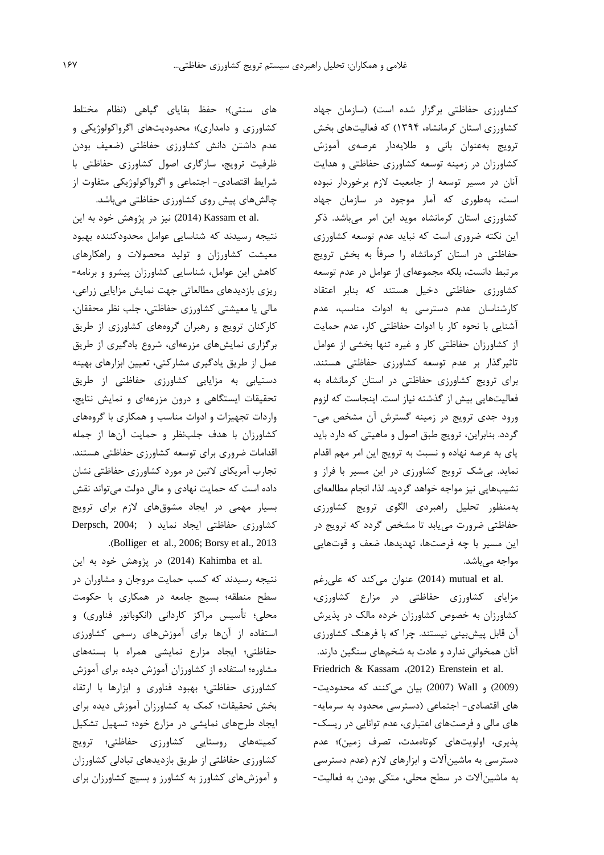کشاورزي حفاظتی برگزار شده است( )سازمان جهاد کشاورزي استان کرمانشاه، 1394( که فعالیتهاي بخش ترويج بهعنوان بانی و طاليهدار عرصهي آموزش کشاورزان در زمینه توسعه کشاورزي حفاظتی و هدايت آنان در مسیر توسعه از جامعیت الزم برخوردار نبوده است، بهطوري که آمار موجود در سازمان جهاد کشاورزي استان کرمانشاه مويد اين امر میباشد. ذکر اين نکته ضروري است که نبايد عدم توسعه کشاورزي حفاظتی در استان کرمانشاه را صرفاً به بخش ترويج مرتبط دانست، بلکه مجموعهاي از عوامل در عدم توسعه کشاورزي حفاظتی دخیل هستند که بنابر اعتقاد کارشناسان عدم دسترسی به ادوات مناسب، عدم آشنايی با نحوه کار با ادوات حفاظتی کار، عدم حمايت از کشاورزان حفاظتی کار و غیره تنها بخشی از عوامل تاثیرگذار بر عدم توسعه کشاورزي حفاظتی هستند. براي ترويج کشاورزي حفاظتی در استان کرمانشاه به فعالیتهايی بیش از گذشته نیاز است. اينجاست که لزوم ورود جدي ترويج در زمینه گسترش آن مشخص می- گردد. بنابراين، ترويج طبق اصول و ماهیتی که دارد بايد پاي به عرصه نهاده و نسبت به ترويج اين امر مهم اقدام نمايد. بیشک ترويج کشاورزي در اين مسیر با فراز و نشیبهايی نیز مواجه خواهد گرديد. لذا، انجام مطالعهاي بهمنظور تحلیل راهبردي الگوي ترويج کشاورزي حفاظتی ضرورت میيابد تا مشخص گردد که ترويج در اين مسیر با چه فرصتها، تهديدها، ضعف و قوتهايی مواجه میباشد.

.al (2014) mutual et al اعنوان میکند که علیرغم مزاياي کشاورزي حفاظتی در مزارع کشاورزي، کشاورزان به خصوص کشاورزان خرده مالک در پذيرش آن قابل پیشبینی نیستند. چرا که با فرهنگ کشاورزي آنان همخوانی ندارد و عادت به شخمهاي سنگین دارند.

Friedrich & Kassam ،(2012) Erenstein et al. )2009( و Wall( <sup>2007</sup> )بیان میکنند که محدوديت- هاي اقتصادي- اجتماعی )دسترسی محدود به سرمايه- هاي مالی و فرصتهاي اعتباري، عدم توانايی در ريسک- پذيري، اولويتهاي کوتاهمدت، تصرف زمین(؛ عدم دسترسی به ماشینآالت و ابزارهاي الزم )عدم دسترسی به ماشینآالت در سطح محلی، متکی بودن به فعالیت-

های سنتی)؛ حفظ بقایای گیاهی (نظام مختلط کشاورزي و دامداري(؛ محدوديتهاي اگرواکولوژيکی و عدم داشتن دانش کشاورزي حفاظتی )ضعیف بودن ظرفیت ترويج، سازگاري اصول کشاورزي حفاظتی با شرايط اقتصادي- اجتماعی و اگرواکولوژيکی متفاوت از چالشهاي پیش روي کشاورزي حفاظتی میباشد.

.assam et al) نیز در پژوهش خود به اين (2014) نتیجه رسیدند که شناسايی عوامل محدودکننده بهبود معیشت کشاورزان و تولید محصوالت و راهکارهاي کاهش اين عوامل، شناسايی کشاورزان پیشرو و برنامه- ريزي بازديدهاي مطالعاتی جهت نمايش مزايايی زراعی، مالی يا معیشتی کشاورزي حفاظتی، جلب نظر محققان، کارکنان ترويج و رهبران گروههاي کشاورزي از طريق برگزاري نمايشهاي مزرعهاي، شروع يادگیري از طريق عمل از طريق يادگیري مشارکتی، تعیین ابزارهاي بهینه دستیابی به مزايايی کشاورزي حفاظتی از طريق تحقیقات ايستگاهی و درون مزرعهاي و نمايش نتايج، واردات تجهیزات و ادوات مناسب و همکاري با گروههاي کشاورزان با هدف جلبنظر و حمايت آنها از جمله اقدامات ضروري براي توسعه کشاورزي حفاظتی هستند. تجارب آمريکاي التین در مورد کشاورزي حفاظتی نشان داده است که حمايت نهادي و مالی دولت میتواند نقش بسیار مهمی در ايجاد مشوقهاي الزم براي ترويج کشاورزي حفاظتی ايجاد نمايد ) ;2004 ,Derpsch .)Bolliger et al., 2006; Borsy et al., 2013

.co (2014) Kahimba et al (2014) در پژوهش خود به اين نتیجه رسیدند که کسب حمايت مروجان و مشاوران در سطح منطقه؛ بسیج جامعه در همکاري با حکومت محلی؛ تأسیس مراکز کاردانی (انکوباتور فناوری) و استفاده از آنها براي آموزشهاي رسمی کشاورزي حفاظتی؛ ايجاد مزارع نمايشی همراه با بستههاي مشاوره؛ استفاده از کشاورزان آموزش ديده براي آموزش کشاورزي حفاظتی؛ بهبود فناوري و ابزارها با ارتقاء بخش تحقیقات؛ کمک به کشاورزان آموزش ديده براي ايجاد طرحهاي نمايشی در مزارع خود؛ تسهیل تشکیل کمیتههاي روستايی کشاورزي حفاظتی؛ ترويج کشاورزي حفاظتی از طريق بازديدهاي تبادلی کشاورزان و آموزشهاي کشاورز به کشاورز و بسیج کشاورزان براي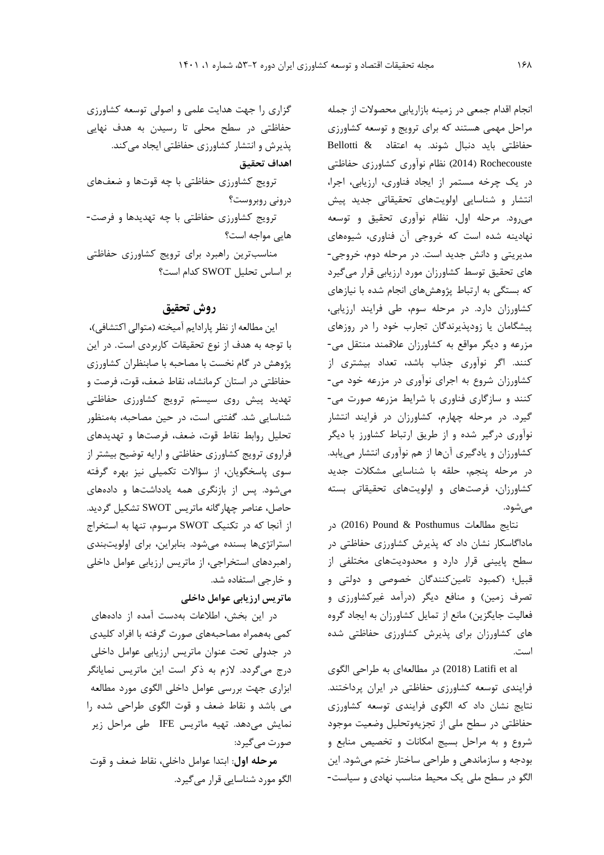انجام اقدام جمعی در زمینه بازاريابی محصوالت از جمله مراحل مهمی هستند که براي ترويج و توسعه کشاورزي حفاظتی بايد دنبال شوند. به اعتقاد & Bellotti Rochecouste( 2014 )نظام نوآوري کشاورزي حفاظتی در يک چرخه مستمر از ايجاد فناوري، ارزيابی، اجرا، انتشار و شناسايی اولويتهاي تحقیقاتی جديد پیش میرود. مرحله اول، نظام نوآوري تحقیق و توسعه نهادينه شده است که خروجی آن فناوري، شیوههاي مديريتی و دانش جديد است. در مرحله دوم، خروجی- هاي تحقیق توسط کشاورزان مورد ارزيابی قرار میگیرد که بستگی به ارتباط پژوهشهاي انجام شده با نیازهاي کشاورزان دارد. در مرحله سوم، طی فرايند ارزيابی، پیشگامان يا زودپذيرندگان تجارب خود را در روزهاي مزرعه و ديگر مواقع به کشاورزان عالقمند منتقل می- کنند. اگر نوآوري جذاب باشد، تعداد بیشتري از کشاورزان شروع به اجراي نوآوري در مزرعه خود می- کنند و سازگاري فناوري با شرايط مزرعه صورت می- گیرد. در مرحله چهارم، کشاورزان در فرايند انتشار نوآوري درگیر شده و از طريق ارتباط کشاورز با ديگر کشاورزان و يادگیري آنها از هم نوآوري انتشار میيابد. در مرحله پنجم، حلقه با شناسايی مشکالت جديد کشاورزان، فرصتهاي و اولويتهاي تحقیقاتی بسته میشود.

نتايج مطالعات Posthumus & Pound( 2016 )در ماداگاسکار نشان داد که پذيرش کشاورزي حفاظتی در سطح پايینی قرار دارد و محدوديتهاي مختلفی از قبیل؛ )کمبود تامینکنندگان خصوصی و دولتی و تصرف زمین) و منافع ديگر (درآمد غیرکشاورزي و فعالیت جايگزين) مانع از تمايل كشاورزان به ايجاد گروه هاي کشاورزان براي پذيرش کشاورزي حفاظتی شده است.

al et Latifi( 2018 (در مطالعهاي به طراحی الگوي فرايندي توسعه کشاورزي حفاظتی در ايران پرداختند. نتايج نشان داد که الگوي فرايندي توسعه کشاورزي حفاظتی در سطح ملی از تجزيهوتحلیل وضعیت موجود شروع و به مراحل بسیج امکانات و تخصیص منابع و بودجه و سازماندهی و طراحی ساختار ختم میشود. اين الگو در سطح ملی يک محیط مناسب نهادي و سیاست-

گزاري را جهت هدايت علمی و اصولی توسعه کشاورزي حفاظتی در سطح محلی تا رسیدن به هدف نهايی پذيرش و انتشار کشاورزي حفاظتی ايجاد میکند.

**اهداف تحقيق**

ترويج کشاورزي حفاظتی با چه قوتها و ضعفهاي درونی روبروست؟

ترويج کشاورزي حفاظتی با چه تهديدها و فرصت- هايی مواجه است؟

مناسبترين راهبرد براي ترويج کشاورزي حفاظتی بر اساس تحلیل SWOT کدام است؟

## **روش تحقیق**

اين مطالعه از نظر پارادايم آميخته (متوالی اکتشافی)، با توجه به هدف از نوع تحقیقات کاربردي است. در اين پژوهش در گام نخست با مصاحبه با صابنظران کشاورزي حفاظتی در استان کرمانشاه، نقاط ضعف، قوت، فرصت و تهديد پیش روي سیستم ترويج کشاورزي حفاظتی شناسايی شد. گفتنی است، در حین مصاحبه، بهمنظور تحلیل روابط نقاط قوت، ضعف، فرصتها و تهديدهاي فراروي ترويج کشاورزي حفاظتی و ارايه توضیح بیشتر از سوي پاسخگويان، از سؤاالت تکمیلی نیز بهره گرفته میشود. پس از بازنگري همه يادداشتها و دادههاي حاصل، عناصر چهارگانه ماتريس SWOT تشکیل گرديد. از آنجا که در تکنیک SWOT مرسوم، تنها به استخراج استراتژيها بسنده میشود. بنابراين، براي اولويتبندي راهبردهاي استخراجی، از ماتريس ارزيابی عوامل داخلی و خارجی استفاده شد.

**ماتريس ارزيابی عوامل داخلی**

در اين بخش، اطالعات بهدست آمده از دادههاي کمی بههمراه مصاحبههاي صورت گرفته با افراد کلیدي در جدولی تحت عنوان ماتريس ارزيابی عوامل داخلی درج میگردد. الزم به ذکر است اين ماتريس نمايانگر ابزاري جهت بررسی عوامل داخلی الگوي مورد مطالعه می باشد و نقاط ضعف و قوت الگوي طراحی شده را نمايش میدهد. تهیه ماتريس IFE طی مراحل زير صورت میگیرد:

**مرحله اول**: ابتدا عوامل داخلی، نقاط ضعف و قوت الگو مورد شناسايی قرار میگیرد.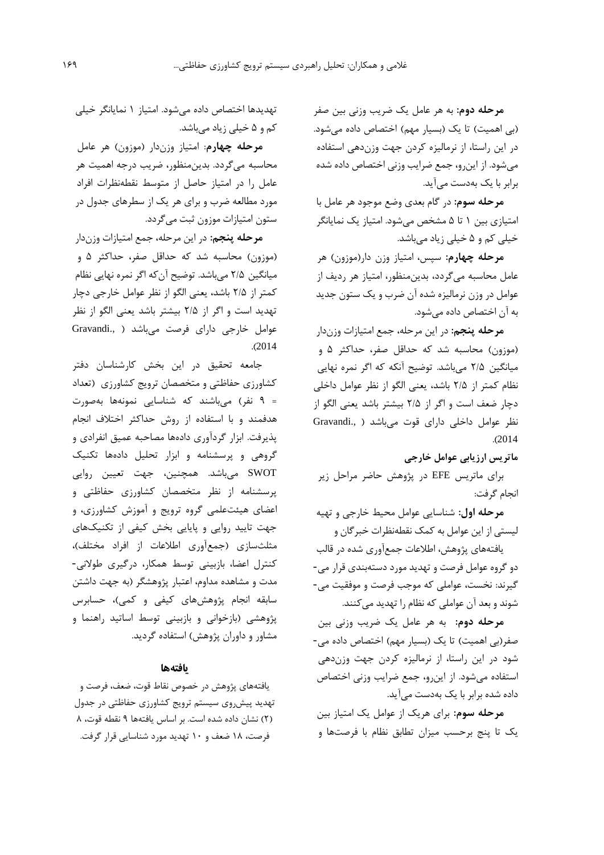**مرحله دوم:** به هر عامل يک ضريب وزنی بین صفر (بی اهمیت) تا يک (بسيار مهم) اختصاص داده می شود. در اين راستا، از نرمالیزه کردن جهت وزندهی استفاده میشود. از اينرو، جمع ضرايب وزنی اختصاص داده شده برابر با يک بهدست میآيد.

**مرحله سوم:** در گام بعدي وضع موجود هر عامل با امتیازي بین 1 تا 5 مشخص میشود. امتیاز يک نمايانگر خیلی کم و 5 خیلی زياد میباشد.

**مرحله چهارم:** سپس، امتیاز وزن دار)موزون( هر عامل محاسبه میگردد، بدينمنظور، امتیاز هر رديف از عوامل در وزن نرمالیزه شده آن ضرب و يک ستون جديد به آن اختصاص داده میشود.

**مرحله پنجم:** در اين مرحله، جمع امتیازات وزندار )موزون( محاسبه شد که حداقل صفر، حداکثر 5 و میانگین 2/5 میباشد. توضیح آنکه که اگر نمره نهايی نظام کمتر از 2/5 باشد، يعنی الگو از نظر عوامل داخلی دچار ضعف است و اگر از 2/5 بیشتر باشد يعنی الگو از نظر عوامل داخلی دارای قوت میباشد ( ,Gravandi .)2014

**ماتريس ارزيابی عوامل خارجی**

براي ماتريس EFE در پژوهش حاضر مراحل زير انجام گرفت:

**مرحله اول:** شناسايی عوامل محیط خارجی و تهیه لیستی از اين عوامل به کمک نقطهنظرات خبرگان و

يافتههاي پژوهش، اطالعات جمعآوري شده در قالب دو گروه عوامل فرصت و تهديد مورد دستهبندي قرار می- گیرند: نخست، عواملی که موجب فرصت و موفقیت می- شوند و بعد آن عواملی که نظام را تهديد میکنند.

**مرحله دوم:** به هر عامل يک ضريب وزنی بین صفر(بی اهمیت) تا يک (بسيار مهم) اختصاص داده می-شود در اين راستا، از نرمالیزه کردن جهت وزندهی استفاده میشود. از اينرو، جمع ضرايب وزنی اختصاص داده شده برابر با يک بهدست میآيد.

**مرحله سوم:** براي هريک از عوامل يک امتیاز بین يک تا پنج برحسب میزان تطابق نظام با فرصتها و

تهديدها اختصاص داده میشود. امتیاز 1 نمايانگر خیلی کم و 5 خیلی زياد میباشد.

**مرحله چهارم**: امتیاز وزندار )موزون( هر عامل محاسبه میگردد. بدينمنظور، ضريب درجه اهمیت هر عامل را در امتیاز حاصل از متوسط نقطهنظرات افراد مورد مطالعه ضرب و براي هر يک از سطرهاي جدول در ستون امتیازات موزون ثبت میگردد.

**مرحله پنجم:** در اين مرحله، جمع امتیازات وزندار )موزون( محاسبه شد که حداقل صفر، حداکثر 5 و میانگین 2/5 میباشد. توضیح آنکه اگر نمره نهايی نظام کمتر از 2/5 باشد، يعنی الگو از نظر عوامل خارجی دچار تهديد است و اگر از 2/5 بیشتر باشد يعنی الگو از نظر عوامل خارجی داراي فرصت میباشد ) .,Gravandi .)2014

جامعه تحقیق در اين بخش کارشناسان دفتر کشاورزي حفاظتی و متخصصان ترويج کشاورزي )تعداد = 9 نفر( میباشند که شناسايی نمونهها بهصورت هدفمند و با استفاده از روش حداکثر اختالف انجام پذيرفت. ابزار گردآوري دادهها مصاحبه عمیق انفرادي و گروهی و پرسشنامه و ابزار تحلیل دادهها تکنیک SWOT میباشد. همچنین، جهت تعیین روايی پرسشنامه از نظر متخصصان کشاورزي حفاظتی و اعضاي هیئتعلمی گروه ترويج و آموزش کشاورزي، و جهت تايید روايی و پايايی بخش کیفی از تکنیکهاي مثلثسازي )جمعآوري اطالعات از افراد مختلف(، کنترل اعضا، بازبینی توسط همکار، درگیري طوالنی- مدت و مشاهده مداوم، اعتبار پژوهشگر )به جهت داشتن سابقه انجام پژوهشهاي کیفی و کمی(، حسابرس پژوهشی )بازخوانی و بازبینی توسط اساتید راهنما و مشاور و داوران پژوهش) استفاده گرديد.

## **یافتهها**

يافتههاي پژوهش در خصوص نقاط قوت، ضعف، فرصت و تهديد پیشروي سیستم ترويج کشاورزي حفاظتی در جدول )2( نشان داده شده است. بر اساس يافتهها 9 نقطه قوت، 8 فرصت، 18 ضعف و 10 تهديد مورد شناسايی قرار گرفت.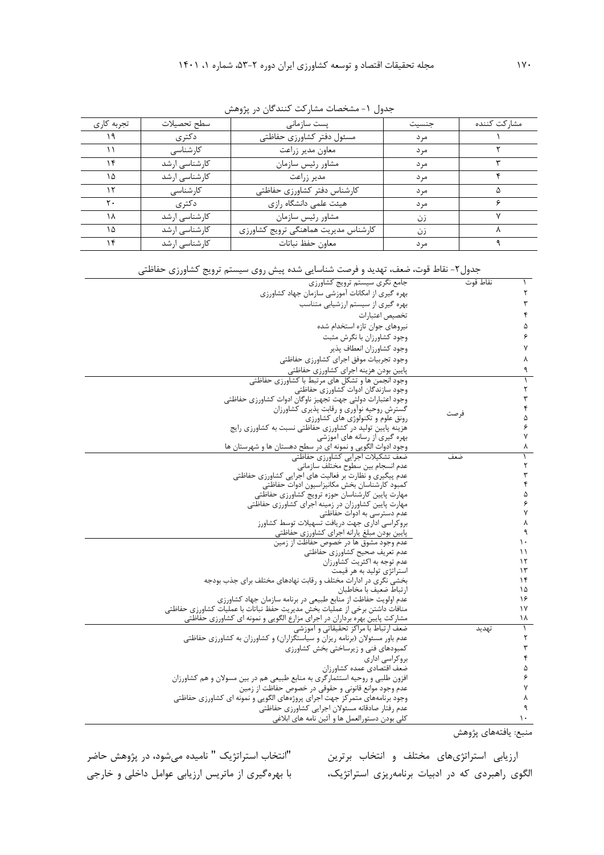| تجربه كارى | سطح تحصيلات   | پست سازمانی                          | جنسيت | مشاركت كننده |
|------------|---------------|--------------------------------------|-------|--------------|
| ۱۹         | دكترى         | مسئول دفتر كشاورزى حفاظتى            | مر د  |              |
|            | كارشناسى      | معاون مدير زراعت                     | مر د  |              |
| ۱۴         | کارشناسی ارشد | مشاور رئيس سازمان                    | مر د  |              |
| ۱۵         | کارشناسی ارشد | مدیر زراعت                           | مر د  |              |
| ۱۲         | كارشناسى      | كارشناس دفتر كشاورزى حفاظتى          | مر د  |              |
| ۲.         | دکتر ی        | هیئت علمی دانشگاه رازی               | مر د  |              |
| ۱۸         | کارشناسی ارشد | مشاور رئيس سازمان                    | زن    |              |
| ۱۵         | کارشناسی ارشد | كارشناس مديريت هماهنگي ترويج كشاورزي | زن    |              |
|            | کارشناسی ارشد | معاون حفظ نباتات                     | مر د  |              |

جدول ۱- مشخصات مشارکت کنندگان در پژوهش

| جدول۲- نقاط قوت، ضعف، تهدید و فرصت شناسایی شده پیش روی سیستم ترویج کشاورزی حفاظتی |  |
|-----------------------------------------------------------------------------------|--|

| جامع نگري سيستم ترويج كشاورزي                                               | نقاط قوت |           |
|-----------------------------------------------------------------------------|----------|-----------|
| بهره گیری از امکانات آموزشی سازمان جهاد کشاورزی                             |          |           |
| بهره گیری از سیستم ارزشیابی متناسب                                          |          |           |
| تخصيص اعتبارات                                                              |          |           |
| نیروهای جوان تازه استخدام شده                                               |          | ۵         |
| وجود کشاورزان با نگرش مثبت                                                  |          | ۶         |
| وجود كشاورزان انعطاف پذير                                                   |          | ٧         |
| وجود تجربيات موفق اجراي كشاورزي حفاظتي                                      |          | ٨         |
| پایین بودن هزینه اجرای کشاورزی حفاظتی                                       |          | ٩         |
| وجود انجمن ها و تشكل هاى مرتبط با كشاورزى حفاظتى                            |          |           |
| وجود سازندگان ادوات کشاورزی حفاظتی                                          |          | ٢         |
| وجود اعتبارات دولتي جهت تجهيز ناوگان ادوات كشاورزي حفاظتي                   |          | ٣         |
| گسترش روحیه نوآوری و رقابت پذیری کشاورزان                                   |          | ۴         |
| رونق علوم و تکنولوژی های کشاورزی                                            | فرصت     | ۵         |
| هزینه پایین تولید در کشاورزی حفاظتی نسبت به کشاورزی رایج                    |          | ۶         |
| بهره گیری از رسانه های اموزشی                                               |          | ٧         |
| وجود ادوات الگویی و نمونه ای در سطح دهستان ها و شهرستان ها                  |          | ٨         |
| ضعف تشكيلات اجرايي كشاورزي حفاظتي                                           | ضعف      |           |
| عدم انسجام بين سطوح مختلف سازماني                                           |          | ٢         |
| عدم پیگیری و نظارت بر فعالیت های اجرایی کشاورزی حفاظتی                      |          | ٣         |
| كمبود كارشناسان بخش مكانيزاسيون ادوات حفاظتي                                |          | ۴         |
| مهارت پایین کارشناسان حوزه ترویج کشاورزی حفاظتی                             |          | ۵         |
| مهارت پایین کشاورزان در زمینه اجرای کشاورزی حفاظتی                          |          | ۶         |
| عدم دسترسی به ادوات حفاظتی                                                  |          | ٧         |
| بروكراسي ادارى جهت دريافت تسهيلات توسط كشاورز                               |          | ٨         |
| پایین بودن مبلغ یارانه اجرای کشاورزی حفاظتی                                 |          | ٩         |
| عدم وجود مشوق ها در خصوص حفاظت از زمین                                      |          | ۱۰        |
| عدم تعريف صحيح كشاورزي حفاظتي                                               |          | ۱۱        |
| عدم توجه به اکثریت کشاورزان                                                 |          | ۱۲        |
| استراتژی تولید به هر قیمت                                                   |          | $\gamma$  |
| بخشی نگری در ادارات مختلف و رقابت نهادهای مختلف برای جذب بودجه              |          | ۱۴        |
| ارتباط ضعيف با مخاطبان                                                      |          | ۱۵        |
| عدم اولویت حفاظت از منابع طبیعی در برنامه سازمان جهاد کشاورزی               |          | ۱۶        |
| منافات داشتن برخی از عملیات بخش مدیریت حفظ نباتات با عملیات کشاورزی حفاظتی  |          | $\gamma$  |
| مشارکت پایین بهره برداران در اجرای مزارع الگویی و نمونه ای کشاورزی حفاظتی   |          | ۱۸        |
| ضعف ارتباط با مراكز تحقيقاتي و آموزشي                                       | تهديد    | $\lambda$ |
| عدم باور مسئولان (برنامه ریزان و سیاستگزاران) و کشاورزان به کشاورزی حفاظتی  |          | ٢         |
| كمبودهاي فنى و زيرساختى بخش كشاورزى                                         |          | ٣         |
| بروکراسی اداری                                                              |          | ۴         |
| ضعف اقتصادي عمده كشاورزان                                                   |          | ۵         |
| افزون طلبی و روحیه استثمارگری به منابع طبیعی هم در بین مسولان و هم کشاورزان |          | ۶         |
| عدم وجود موانع قانونی و حقوقی در خصوص حفاظت از زمین                         |          | ٧         |
| وجود برنامههای متمر کز جهت اجرای پروژههای الگویی و نمونه ای کشاورزی حفاظتی  |          | ٨         |
| عدم رفتار صادقانه مسئولان اجرايي كشاورزي حفاظتي                             |          |           |
| کلی بودن دستورالعمل ها و آئین نامه های ابلاغی                               |          | ۱.        |

منبع: يافتههاي پژوهش

ارزيابی استراتژيهاي مختلف و انتخاب برترين الگوي راهبردي که در ادبیات برنامهريزي استراتژيک،

"انتخاب استراتژيک " نامیده میشود، در پژوهش حاضر با بهرهگیري از ماتريس ارزيابی عوامل داخلی و خارجی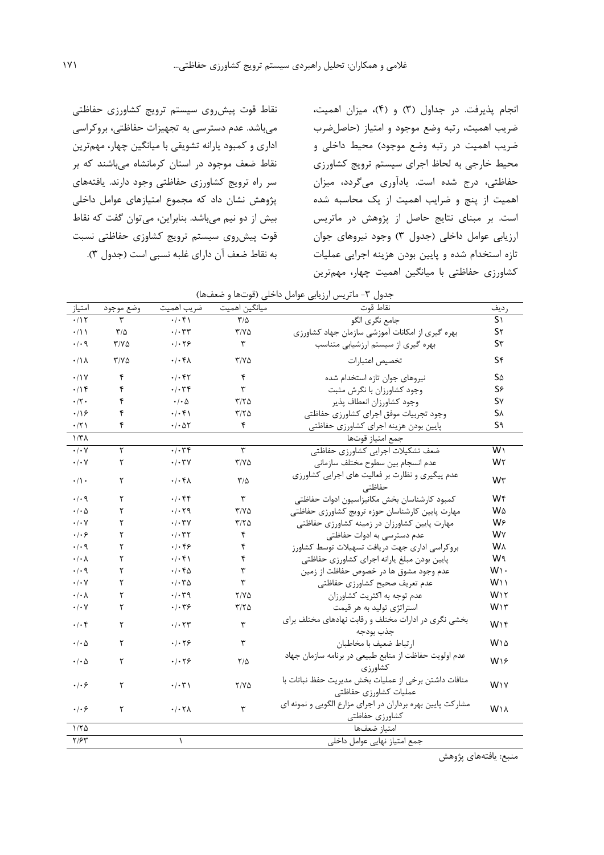انجام پذيرفت. در جداول (٣) و (۴)، میزان اهمیت، ضريب اهمیت، رتبه وضع موجود و امتیاز )حاصلضرب ضريب اهميت در رتبه وضع موجود) محيط داخلي و محیط خارجی به لحاظ اجراي سیستم ترويج کشاورزي حفاظتی، درج شده است. يادآوري میگردد، میزان اهمیت از پنج و ضرايب اهمیت از يک محاسبه شده است. بر مبناي نتايج حاصل از پژوهش در ماتريس ارزيابی عوامل داخلی (جدول ٣) وجود نيروهاي جوان تازه استخدام شده و پايین بودن هزينه اجرايی عملیات کشاورزي حفاظتی با میانگین اهمیت چهار، مهمترين

نقاط قوت پیشروي سیستم ترويج کشاورزي حفاظتی میباشد. عدم دسترسی به تجهیزات حفاظتی، بروکراسی اداري و کمبود يارانه تشويقی با میانگین چهار، مهمترين نقاط ضعف موجود در استان کرمانشاه میباشند که بر سر راه ترويج کشاورزي حفاظتی وجود دارند. يافتههاي پژوهش نشان داد که مجموع امتیازهاي عوامل داخلی بیش از دو نیم میباشد. بنابراين، میتوان گفت که نقاط قوت پیشروي سیستم ترويج کشاوزي حفاظتی نسبت به نقاط ضعف آن داراي غلبه نسبی است )جدول 3(.

| جدول ٣- ماتريس ارزيابي عوامل داخلي (قوتها و ضعفها) |               |                                              |               |                                                                               |                       |
|----------------------------------------------------|---------------|----------------------------------------------|---------------|-------------------------------------------------------------------------------|-----------------------|
| امتياز                                             | وضع موجود     | ضريب اهميت                                   | ميانگين اهميت | نقاط قوت                                                                      | رديف                  |
| .115                                               | ٣             | .1.41                                        | $\frac{1}{2}$ | جامع نگري الگو                                                                | $S_1$                 |
| $\cdot/1$                                          | $\frac{1}{2}$ | $\cdot/\cdot$ ٣٣                             | $Y/Y\Delta$   | بهره گیری از امکانات آموزشی سازمان جهاد کشاورزی                               | $S\tau$               |
| $\cdot$ / $\cdot$ 9                                | 7/70          | .1.79                                        | $\mathbf{r}$  | بهره گیری از سیستم ارزشیابی متناسب                                            | S <sub>r</sub>        |
| $\cdot/\Lambda$                                    | $T/Y\Delta$   | $.$ $\uparrow$ $\uparrow$ $\uparrow$         | $T/Y\Delta$   | تخصيص اعتبارات                                                                | S۴                    |
| .11V                                               | ۴             | $\cdot$ / $\cdot$ $\uparrow$ $\uparrow$      | ۴             | نیروهای جوان تازه استخدام شده                                                 | S۵                    |
| .19                                                | ۴             | $\cdot$ / $\cdot$ $\uparrow$ $\uparrow$      | ٣             | وجود كشاورزان با نگرش مثبت                                                    | S۶                    |
| $\cdot$ /٢ $\cdot$                                 | ۴             | $\cdot$ / $\cdot$ $\Delta$                   | ۳/۲۵          | وجود كشاورزان انعطاف يذير                                                     | S٧                    |
| .199                                               | ۴             | .1.51                                        | $T/T\Delta$   | وجود تجربيات موفق اجراي كشاورزي حفاظتي                                        | <b>SA</b>             |
| $\cdot$ /٢١                                        | ۴             | $\cdot$ / $\cdot$ $\Delta \tau$              | ۴             | پایین بودن هزینه اجرای کشاورزی حفاظتی                                         | S٩                    |
| 1/T <sub>A</sub>                                   |               |                                              |               | جمع امتياز قوتها                                                              |                       |
| $\cdot$ / $\cdot$ Y                                | ٢             | .1.79                                        | ٣             | ضعف تشكيلات اجرايي كشاورزي حفاظتي                                             | W١                    |
| $\cdot$ / $\cdot$ $\vee$                           | ۲             | $\cdot$ / $\cdot$ $\uparrow$ $\vee$          | $T/Y\Delta$   | عدم انسجام بين سطوح مختلف سازمانى                                             | W٢                    |
| $\cdot/\rangle$ .                                  | ٢             | $.$ / $.\dagger\Lambda$                      | $\frac{1}{2}$ | عدم پیگیری و نظارت بر فعالیت های اجرایی کشاورزی<br>حفاظتى                     | W٣                    |
| .4.9                                               | ٢             | .1.88                                        | ٣             | كمبود كارشناسان بخش مكانيزاسيون ادوات حفاظتى                                  | W۴                    |
| $\cdot$ / $\cdot$ $\Delta$                         | ٢             | .1.79                                        | $T/Y\Delta$   | مهارت پایین کارشناسان حوزه ترویج کشاورزی حفاظتی                               | <b>W</b> A            |
| $\cdot$ / $\cdot$ $\vee$                           | ٢             | $\cdot$ / $\cdot$ $\uparrow$ $\vee$          | ۳/۲۵          | مهارت پایین کشاورزان در زمینه کشاورزی حفاظتی                                  | W۶                    |
| .   . 9                                            | ٢             | $\cdot$ / $\cdot$ $\uparrow$ $\uparrow$      | ۴             | عدم دسترسی به ادوات حفاظتی                                                    | W٧                    |
| .4.9                                               | ٢             | .1.89                                        | ۴             | بروکراسی اداری جهت دریافت تسهیلات توسط کشاورز                                 | <b>W</b> <sub>A</sub> |
| $\cdot$ / $\cdot$ $\wedge$                         | ٢             | .1.41                                        | ۴             | پایین بودن مبلغ پارانه اجرای کشاورزی حفاظتی                                   | W۹                    |
| $\cdot$ / $\cdot$ 9                                | ٢             | $.$ $\cdot$ $\uparrow$ $\uparrow$ $\uparrow$ | ٣             | عدم وجود مشوق ها در خصوص حفاظت از زمین                                        | W۱۰                   |
| $\cdot$ / $\cdot$ $\vee$                           | ٢             | $\cdot$ / $\cdot$ $\uparrow$ $\uparrow$      | ٣             | عدم تعريف صحيح كشاورزي حفاظتي                                                 | W۱۱                   |
| $\cdot$ / $\cdot$ $\wedge$                         | ٢             | $\cdot$ / $\cdot$ $\uparrow$ 9               | $Y/Y\Delta$   | عدم توجه به اکثریت کشاورزان                                                   | W١٢                   |
| $\cdot$ / $\cdot$ $\vee$                           | ٢             | .1.79                                        | $T/T\Delta$   | استراتژی تولید به هر قیمت                                                     | WIT                   |
| $.  .$ ۴                                           | ٢             | $\cdot$ / $\cdot$ $\uparrow$ $\uparrow$      | ٣             | بخشی نگری در ادارات مختلف و رقابت نهادهای مختلف برای<br>جذب بودجه             | W١۴                   |
| $\cdot$ / $\cdot$ $\Delta$                         | ٢             | .1.79                                        | ٣             | ارتباط ضعيف با مخاطبان                                                        | $W \wedge \Delta$     |
| $\cdot$ / $\cdot$ $\Delta$                         | ٢             | .1.79                                        | 7/2           | عدم اولويت حفاظت از منابع طبيعي در برنامه سازمان جهاد<br>كشاورزى              | W۱۶                   |
| .   . 9                                            | ٢             | $\cdot$ / $\cdot$ ۳)                         | $Y/Y\Delta$   | منافات داشتن برخی از عملیات بخش مدیریت حفظ نباتات با<br>عمليات كشاورزي حفاظتي | WIV                   |
| ۰۱۰۶                                               | ٢             | $.$ $\sim$ $\sim$ $\sim$                     | ٣             | مشارکت پایین بهره برداران در اجرای مزارع الگویی و نمونه ای<br>كشاورزي حفاظتي  | W <sub>1</sub>        |
| 1/50                                               |               |                                              |               | امتياز ضعفها                                                                  |                       |
| Y/5Y                                               |               | $\lambda$                                    |               | جمع امتياز نهايي عوامل داخلي                                                  |                       |

منبع: يافتههاي پژوهش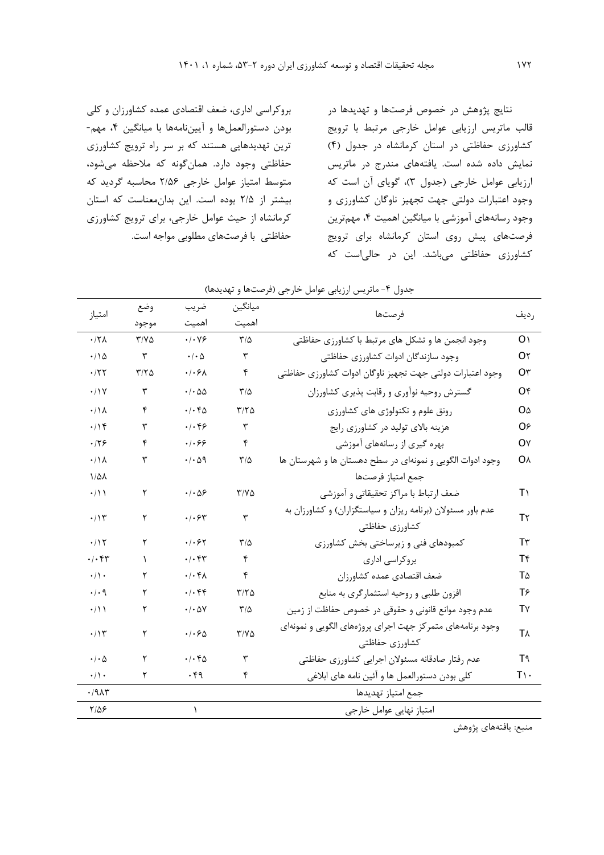نتايج پژوهش در خصوص فرصتها و تهديدها در قالب ماتريس ارزيابی عوامل خارجی مرتبط با ترويج کشاورزي حفاظتی در استان کرمانشاه در جدول )4( نمايش داده شده است. يافتههاي مندرج در ماتريس ارزيابي عوامل خارجي (جدول ٣)، گوياي آن است كه وجود اعتبارات دولتی جهت تجهیز ناوگان کشاورزي و وجود رسانههاي آموزشی با میانگین اهمیت ،4 مهمترين فرصتهاي پیش روي استان کرمانشاه براي ترويج کشاورزي حفاظتی میباشد. اين در حالیاست که

بروکراسی اداري، ضعف اقتصادي عمده کشاورزان و کلی بودن دستورالعملها و آيیننامهها با میانگین ،4 مهم- ترين تهديدهايی هستند که بر سر راه ترويج کشاورزي حفاظتی وجود دارد. همانگونه که مالحظه میشود، متوسط امتیاز عوامل خارجی 2/56 محاسبه گرديد که بیشتر از 2/5 بوده است. اين بدانمعناست که استان کرمانشاه از حیث عوامل خارجی، براي ترويج کشاورزي حفاظتی با فرصتهاي مطلوبی مواجه است.

| امتياز                               | وضع           | ضريب                                |                         | ميانگين                                                                       |                   |
|--------------------------------------|---------------|-------------------------------------|-------------------------|-------------------------------------------------------------------------------|-------------------|
|                                      | موجود         | اهميت                               | اهميت                   | فرصتها                                                                        | رديف              |
| $.17\lambda$                         | $Y/Y\Delta$   | $\cdot$ / $\cdot$ Y &               | $\mathbf{r}/\mathbf{r}$ | وجود انجمن ها و تشکل های مرتبط با کشاورزی حفاظتی                              | O <sub>1</sub>    |
| $\cdot/\wedge\Delta$                 | ٣             | $\cdot$ / $\cdot$ $\Delta$          | ٣                       | وجود سازندگان ادوات كشاورزى حفاظتى                                            | О٢                |
| .777                                 | $Y/Y\Delta$   | $.$ / $.$ ۶ $\wedge$                | ۴                       | وجود اعتبارات دولتي جهت تجهيز ناوگان ادوات كشاورزي حفاظتي                     | О۳                |
| $\cdot/\gamma$                       | ٣             | $\cdot$ / $\cdot$ $\Delta\Delta$    | $\mathbf{r}/\mathbf{r}$ | گسترش روحیه نوآوری و رقابت پذیری کشاورزان                                     | O۴                |
| $\cdot/\Lambda$                      | ۴             | .1.60                               | $\mathbf{r}/\mathbf{r}$ | رونق علوم و تکنولوژی های کشاورزی                                              | OΔ                |
| $\cdot/\sqrt{9}$                     | ٣             | $.  .$ ۴۶                           | $\mathbf{r}$            | هزینه بالای تولید در کشاورزی رایج                                             | O۶                |
| .179                                 | ۴             | .1.89                               | ۴                       | بهره گیری از رسانههای آموزشی                                                  | O٧                |
| $\cdot/\Lambda$                      | ٣             | $\cdot/\cdot \vartriangleleft$      | $\frac{1}{2}$           | وجود ادوات الگویی و نمونهای در سطح دهستان ها و شهرستان ها                     | <b>O</b>          |
| $1/\Delta\lambda$                    |               |                                     |                         | جمع امتياز فرصتها                                                             |                   |
| $\cdot/\rightarrow$                  | ٢             | $\cdot$ $\cdot$ $\Delta$ ۶          | $Y/Y\Delta$             | ضعف ارتباط با مراكز تحقيقاتي و آموزشي                                         | T١                |
| $\cdot/\gamma$                       | ٢             | $\cdot$ / $\cdot$ $\epsilon$ $\tau$ | $\mathbf{\breve{r}}$    | عدم باور مسئولان (برنامه ریزان و سیاستگزاران) و کشاورزان به<br>كشاورزي حفاظتي | T٢                |
| .115                                 | ٢             | .1.87                               | $\mathsf{r}/\mathsf{a}$ | کمبودهای فنی و زیرساختی بخش کشاورزی                                           | T٣                |
| $\cdot$ / $\cdot$ $\uparrow\uparrow$ | $\mathcal{L}$ | .1.54                               | ۴                       | بروكراسي ادارى                                                                | T۴                |
| $\cdot/\rangle$ .                    | ٢             | $\cdot/\cdot$ f $\wedge$            | ۴                       | ضعف اقتصادى عمده كشاورزان                                                     | T۵                |
| $\cdot$ / $\cdot$ 9                  | ٢             | .1.88                               | ۳/۲۵                    | افزون طلبی و روحیه استثمارگری به منابع                                        | $T$ ۶             |
| $\cdot/11$                           | ٢             | $\cdot$ / $\cdot$ $\Delta V$        | $\frac{1}{2}$           | عدم وجود موانع قانونی و حقوقی در خصوص حفاظت از زمین                           | T٧                |
| $\cdot/\gamma$                       | ٢             | .1.80                               | $Y/Y\Delta$             | وجود برنامههای متمرکز جهت اجرای پروژههای الگویی و نمونهای<br>كشاورزي حفاظتي   | <b>T</b>          |
| $\cdot$ / $\cdot$ $\Delta$           | ٢             | $\cdot$ / $\cdot$ $6$               | $\mathbf{\breve{r}}$    | عدم رفتار صادقانه مسئولان اجرايي كشاورزي حفاظتي                               | T٩                |
| $\cdot/\rangle$ .                    | ۲             | $\cdot$ ۴۹                          | ۴                       | كلي بودن دستورالعمل ها و آئين نامه هاي ابلاغي                                 | $T\setminus\cdot$ |
| .79A5                                |               |                                     |                         | جمع امتياز تهديدها                                                            |                   |
| $Y/\Delta P$                         |               | $\lambda$                           |                         | امتياز نهايي عوامل خارجي                                                      |                   |
|                                      |               |                                     |                         |                                                                               |                   |

| جدول ۴- ماتریس ارزیابی عوامل خارجی (فرصتها و تهدیدها) |  |
|-------------------------------------------------------|--|
|-------------------------------------------------------|--|

منبع: يافتههاي پژوهش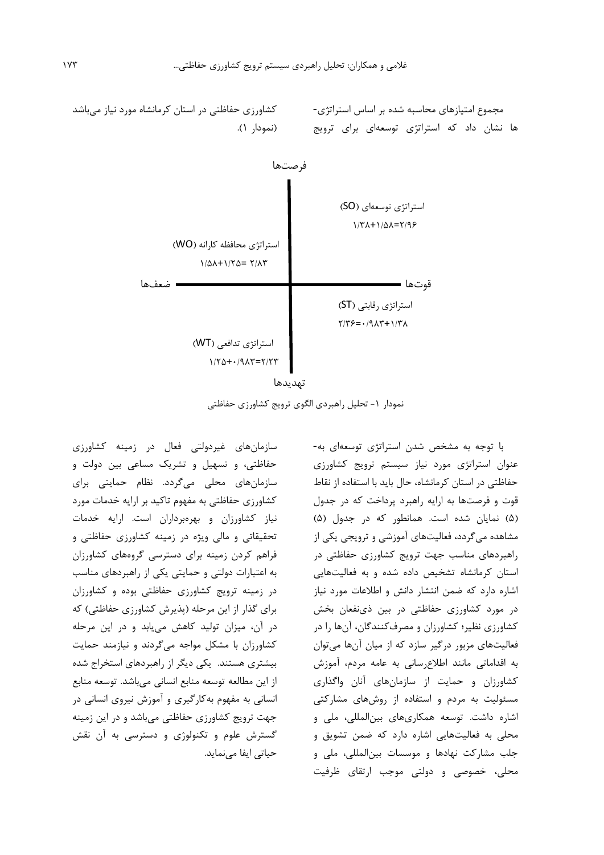



نمودار ۱- تحلیل راهبردی الگوی ترويج کشاورزي حفاظتي

سازمانهاي غیردولتی فعال در زمینه کشاورزي حفاظتی، و تسهیل و تشريک مساعی بین دولت و سازمانهاي محلی میگردد. نظام حمايتی براي کشاورزي حفاظتی به مفهوم تاکید بر ارايه خدمات مورد نیاز کشاورزان و بهرهبرداران است. ارايه خدمات تحقیقاتی و مالی ويژه در زمینه کشاورزي حفاظتی و فراهم کردن زمینه براي دسترسی گروههاي کشاورزان به اعتبارات دولتی و حمايتی يکی از راهبردهاي مناسب در زمینه ترويج کشاورزي حفاظتی بوده و کشاورزان برای گذار از اين مرحله (پذيرش كشاورزي حفاظتی) كه در آن، میزان تولید کاهش میيابد و در اين مرحله کشاورزان با مشکل مواجه میگردند و نیازمند حمايت بیشتري هستند. يکی ديگر از راهبردهاي استخراج شده از اين مطالعه توسعه منابع انسانی میباشد. توسعه منابع انسانی به مفهوم بهکارگیري و آموزش نیروي انسانی در جهت ترويج کشاورزي حفاظتی میباشد و در اين زمینه گسترش علوم و تکنولوژي و دسترسی به آن نقش حیاتی ايفا مینمايد.

با توجه به مشخص شدن استراتژي توسعهاي به- عنوان استراتژي مورد نیاز سیستم ترويج کشاورزي حفاظتی در استان کرمانشاه، حال بايد با استفاده از نقاط قوت و فرصتها به ارايه راهبرد پرداخت که در جدول )5( نمايان شده است. همانطور که در جدول )5( مشاهده میگردد، فعالیتهاي آموزشی و ترويجی يکی از راهبردهاي مناسب جهت ترويج کشاورزي حفاظتی در استان کرمانشاه تشخیص داده شده و به فعالیتهايی اشاره دارد که ضمن انتشار دانش و اطالعات مورد نیاز در مورد کشاورزي حفاظتی در بین ذينفعان بخش کشاورزي نظیر؛ کشاورزان و مصرفکنندگان، آنها را در فعالیتهاي مزبور درگیر سازد که از میان آنها میتوان به اقداماتی مانند اطالعرسانی به عامه مردم، آموزش کشاورزان و حمايت از سازمانهاي آنان واگذاري مسئولیت به مردم و استفاده از روشهاي مشارکتی اشاره داشت. توسعه همکاريهاي بینالمللی، ملی و محلی به فعالیتهايی اشاره دارد که ضمن تشويق و جلب مشارکت نهادها و موسسات بینالمللی، ملی و محلی، خصوصی و دولتی موجب ارتقاي ظرفیت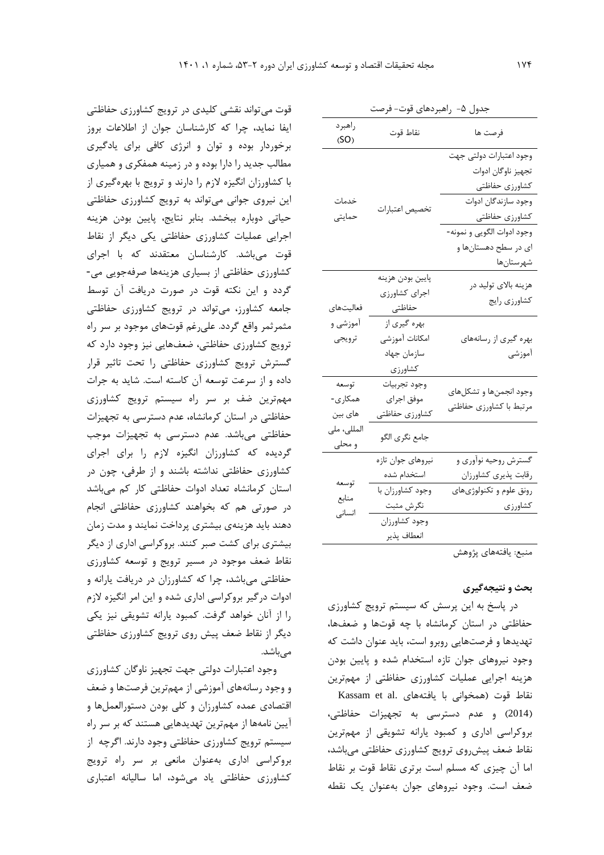| جدول ۵- راهبردهای قوت- فرصت                          |                                                                               |                                                                                                                                                                             |  |  |  |
|------------------------------------------------------|-------------------------------------------------------------------------------|-----------------------------------------------------------------------------------------------------------------------------------------------------------------------------|--|--|--|
| راهبرد<br>(SO)                                       | نقاط قوت                                                                      | فرصت ها                                                                                                                                                                     |  |  |  |
| خدمات<br>حمايتى                                      | تخصيص اعتبارات                                                                | وجود اعتبارات دولتى جهت<br>تجهيز ناوگان ادوات<br>كشاورزي حفاظتي<br>وجود سازندگان ادوات<br>كشاورزي حفاظتي<br>وجود ادوات الگويي و نمونه-<br>ای در سطح دهستانها و<br>شهرستانها |  |  |  |
| فعاليتهاى<br>آموزشی و<br>ترويجي                      | پايين بودن هزينه<br>اجراي كشاورزي<br>حفاظتى<br>بهره گیری از<br>امكانات آموزشى | هزینه بالای تولید در<br>كشاورزي رايج<br>بهره گیری از رسانههای                                                                                                               |  |  |  |
|                                                      | سازمان جهاد<br>كشاورزى                                                        | أموزشى                                                                                                                                                                      |  |  |  |
| توسعه<br>همکاری-<br>های بین<br>المللى، ملى<br>و محلی | وجود تجربيات<br>موفق اجراى<br>كشاورزى حفاظتي                                  | وجود انجمنها و تشكلهاي<br>مرتبط با كشاورزي حفاظتي                                                                                                                           |  |  |  |
|                                                      | جامع نگرى الگو                                                                |                                                                                                                                                                             |  |  |  |
| توسعه<br>منابع                                       | نيروهاى جوان تازه<br>استخدام شده<br>وجود كشاورزان با<br>نگرش مثبت             | گسترش روحیه نوآوری و<br>رقابت پذیری کشاورزان<br>رونق علوم و تكنولوژىهاى<br>كشاورزى                                                                                          |  |  |  |
| انسانی                                               | وجود كشاورزان<br>انعطاف پذير                                                  |                                                                                                                                                                             |  |  |  |

منبع: يافتههاي پژوهش

### **بحث و نتيجهگيري**

در پاسخ به اين پرسش که سیستم ترويج کشاورزي حفاظتی در استان کرمانشاه با چه قوتها و ضعفها، تهديدها و فرصتهايی روبرو است، بايد عنوان داشت که وجود نیروهاي جوان تازه استخدام شده و پايین بودن هزينه اجرايی عملیات کشاورزي حفاظتی از مهمترين نقاط قوت (همخوانی با يافتههای .Kassam et al )2014( و عدم دسترسی به تجهیزات حفاظتی، بروکراسی اداري و کمبود يارانه تشويقی از مهمترين نقاط ضعف پیشروي ترويج کشاورزي حفاظتی میباشد، اما آن چیزي که مسلم است برتري نقاط قوت بر نقاط ضعف است. وجود نیروهاي جوان بهعنوان يک نقطه

قوت میتواند نقشی کلیدي در ترويج کشاورزي حفاظتی ايفا نمايد، چرا که کارشناسان جوان از اطالعات بروز برخوردار بوده و توان و انرژي کافی براي يادگیري مطالب جديد را دارا بوده و در زمینه همفکري و همیاري با کشاورزان انگیزه الزم را دارند و ترويج با بهرهگیري از اين نیروي جوانی میتواند به ترويج کشاورزي حفاظتی حیاتی دوباره ببخشد. بنابر نتايج، پايین بودن هزينه اجرايی عملیات کشاورزي حفاظتی يکی ديگر از نقاط قوت میباشد. کارشناسان معتقدند که با اجراي کشاورزي حفاظتی از بسیاري هزينهها صرفهجويی می- گردد و اين نکته قوت در صورت دريافت آن توسط جامعه کشاورز، میتواند در ترويج کشاورزي حفاظتی مثمرثمر واقع گردد. علیرغم قوتهاي موجود بر سر راه ترويج کشاورزي حفاظتی، ضعفهايی نیز وجود دارد که گسترش ترويج کشاورزي حفاظتی را تحت تاثیر قرار داده و از سرعت توسعه آن کاسته است. شايد به جرات مهمترين ضف بر سر راه سیستم ترويج کشاورزي حفاظتی در استان کرمانشاه، عدم دسترسی به تجهیزات حفاظتی میباشد. عدم دسترسی به تجهیزات موجب گرديده که کشاورزان انگیزه الزم را براي اجراي کشاورزي حفاظتی نداشته باشند و از طرفی، چون در استان کرمانشاه تعداد ادوات حفاظتی کار کم میباشد در صورتی هم که بخواهند کشاورزي حفاظتی انجام دهند بايد هزينهي بیشتري پرداخت نمايند و مدت زمان بیشتري براي کشت صبر کنند. بروکراسی اداري از ديگر نقاط ضعف موجود در مسیر ترويج و توسعه کشاورزي حفاظتی میباشد، چرا که کشاورزان در دريافت يارانه و ادوات درگیر بروکراسی اداري شده و اين امر انگیزه الزم را از آنان خواهد گرفت. کمبود يارانه تشويقی نیز يکی ديگر از نقاط ضعف پیش روي ترويج کشاورزي حفاظتی مے باشد.

وجود اعتبارات دولتی جهت تجهیز ناوگان کشاورزي و وجود رسانههاي آموزشی از مهمترين فرصتها و ضعف اقتصادي عمده کشاورزان و کلی بودن دستورالعملها و آيین نامهها از مهمترين تهديدهايی هستند که بر سر راه سیستم ترويج کشاورزي حفاظتی وجود دارند. اگرچه از بروکراسی اداري بهعنوان مانعی بر سر راه ترويج کشاورزي حفاظتی ياد میشود، اما سالیانه اعتباري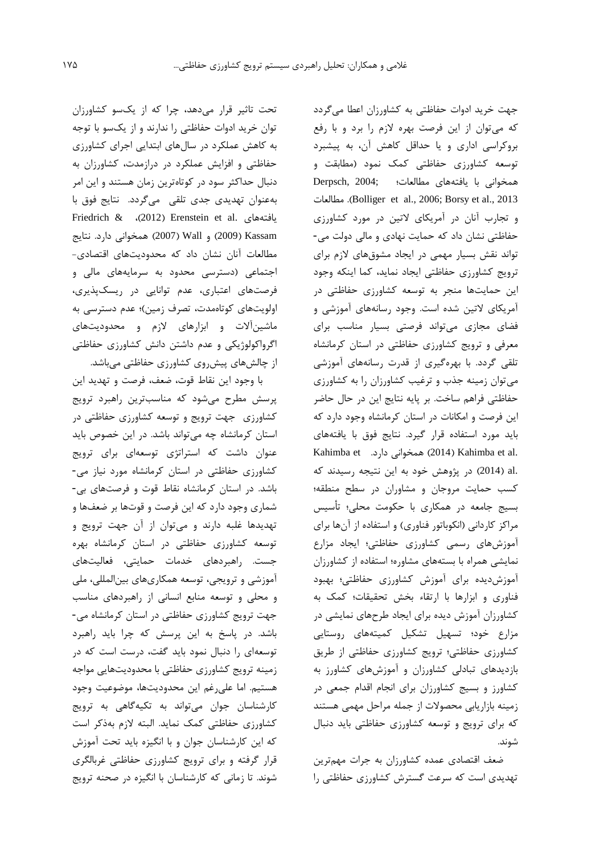جهت خريد ادوات حفاظتی به کشاورزان اعطا میگردد که میتوان از اين فرصت بهره الزم را برد و با رفع بروکراسی اداري و يا حداقل کاهش آن، به پیشبرد توسعه کشاورزي حفاظتی کمک نمود )مطابقت و همخوانی با يافتههاي مطالعات؛ ;2004 ,Derpsch مطالعات .(Bolliger et al., 2006; Borsy et al., 2013 و تجارب آنان در آمريکاي التین در مورد کشاورزي حفاظتی نشان داد که حمايت نهادي و مالی دولت می- تواند نقش بسیار مهمی در ايجاد مشوقهاي الزم براي ترويج کشاورزي حفاظتی ايجاد نمايد، کما اينکه وجود اين حمايتها منجر به توسعه کشاورزي حفاظتی در آمريکاي التین شده است. وجود رسانههاي آموزشی و فضاي مجازي میتواند فرصتی بسیار مناسب براي معرفی و ترويج کشاورزي حفاظتی در استان کرمانشاه تلقی گردد. با بهرهگیري از قدرت رسانههاي آموزشی میتوان زمینه جذب و ترغیب کشاورزان را به کشاورزي حفاظتی فراهم ساخت. بر پايه نتايج اين در حال حاضر اين فرصت و امکانات در استان کرمانشاه وجود دارد که بايد مورد استفاده قرار گیرد. نتايج فوق با يافتههاي Kahimba et .(2014) Kahimba et al. .al( 2014 )در پژوهش خود به اين نتیجه رسیدند که کسب حمايت مروجان و مشاوران در سطح منطقه؛ بسیج جامعه در همکاري با حکومت محلی؛ تأسیس مراکز کاردانی (انکوباتور فناوري) و استفاده از آنها براي آموزشهاي رسمی کشاورزي حفاظتی؛ ايجاد مزارع نمايشی همراه با بستههاي مشاوره؛ استفاده از کشاورزان آموزشديده براي آموزش کشاورزي حفاظتی؛ بهبود فناوري و ابزارها با ارتقاء بخش تحقیقات؛ کمک به کشاورزان آموزش ديده براي ايجاد طرحهاي نمايشی در مزارع خود؛ تسهیل تشکیل کمیتههاي روستايی کشاورزي حفاظتی؛ ترويج کشاورزي حفاظتی از طريق بازديدهاي تبادلی کشاورزان و آموزشهاي کشاورز به کشاورز و بسیج کشاورزان براي انجام اقدام جمعی در زمینه بازاريابی محصوالت از جمله مراحل مهمی هستند که براي ترويج و توسعه کشاورزي حفاظتی بايد دنبال شوند.

ضعف اقتصادي عمده کشاورزان به جرات مهمترين تهديدي است که سرعت گسترش کشاورزي حفاظتی را

تحت تاثیر قرار میدهد، چرا که از يکسو کشاورزان توان خريد ادوات حفاظتی را ندارند و از يکسو با توجه به کاهش عملکرد در سالهاي ابتدايی اجراي کشاورزي حفاظتی و افزايش عملکرد در درازمدت، کشاورزان به دنبال حداکثر سود در کوتاهترين زمان هستند و اين امر بهعنوان تهديدي جدي تلقی میگردد. نتايج فوق با Friedrich & ،)2012( Erenstein et al. يافتههاي Kassam( 2009 )و Wall( 2007 )همخوانی دارد. نتايج مطالعات آنان نشان داد که محدوديتهاي اقتصادي- اجتماعی )دسترسی محدود به سرمايههاي مالی و فرصتهاي اعتباري، عدم توانايی در ريسکپذيري، اولويتهاي کوتاهمدت، تصرف زمین(؛ عدم دسترسی به ماشینآالت و ابزارهاي الزم و محدوديتهاي اگرواکولوژيکی و عدم داشتن دانش کشاورزي حفاظتی از چالشهاي پیشروي کشاورزي حفاظتی میباشد.

با وجود اين نقاط قوت، ضعف، فرصت و تهديد اين پرسش مطرح میشود که مناسبترين راهبرد ترويج کشاورزي جهت ترويج و توسعه کشاورزي حفاظتی در استان کرمانشاه چه میتواند باشد. در اين خصوص بايد عنوان داشت که استراتژي توسعهاي براي ترويج کشاورزي حفاظتی در استان کرمانشاه مورد نیاز می- باشد. در استان کرمانشاه نقاط قوت و فرصتهاي بی- شماري وجود دارد که اين فرصت و قوتها بر ضعفها و تهديدها غلبه دارند و میتوان از آن جهت ترويج و توسعه کشاورزي حفاظتی در استان کرمانشاه بهره جست. راهبردهاي خدمات حمايتی، فعالیتهاي آموزشی و ترويجی، توسعه همکاريهاي بینالمللی، ملی و محلی و توسعه منابع انسانی از راهبردهاي مناسب جهت ترويج کشاورزي حفاظتی در استان کرمانشاه می- باشد. در پاسخ به اين پرسش که چرا بايد راهبرد توسعهاي را دنبال نمود بايد گفت، درست است که در زمینه ترويج کشاورزي حفاظتی با محدوديتهايی مواجه هستیم. اما علیرغم اين محدوديتها، موضوعیت وجود کارشناسان جوان میتواند به تکیهگاهی به ترويج کشاورزي حفاظتی کمک نمايد. البته الزم بهذکر است که اين کارشناسان جوان و با انگیزه بايد تحت آموزش قرار گرفته و براي ترويج کشاورزي حفاظتی غربالگري شوند. تا زمانی که کارشناسان با انگیزه در صحنه ترويج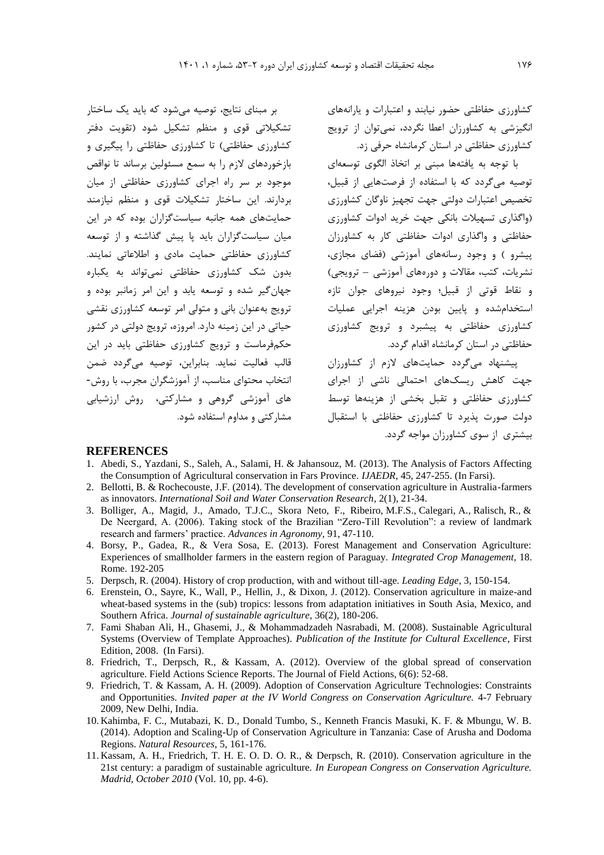کشاورزي حفاظتی حضور نیابند و اعتبارات و يارانههاي انگیزشی به کشاورزان اعطا نگردد، نمیتوان از ترويج کشاورزي حفاظتی در استان کرمانشاه حرفی زد.

با توجه به يافتهها مبنی بر اتخاذ الگوي توسعهاي توصیه میگردد که با استفاده از فرصتهايی از قبیل، تخصیص اعتبارات دولتی جهت تجهیز ناوگان کشاورزي )واگذاري تسهیالت بانکی جهت خريد ادوات کشاورزي حفاظتی و واگذاري ادوات حفاظتی کار به کشاورزان پیشرو ) و وجود رسانههای آموزشی (فضای مجازی، نشريات، کتب، مقاالت و دورههاي آموزشی – ترويجی( و نقاط قوتی از قبیل؛ وجود نیروهاي جوان تازه استخدامشده و پايین بودن هزينه اجرايی عملیات کشاورزي حفاظتی به پیشبرد و ترويج کشاورزي حفاظتی در استان کرمانشاه اقدام گردد.

پیشنهاد میگردد حمايتهاي الزم از کشاورزان جهت کاهش ريسکهاي احتمالی ناشی از اجراي کشاورزي حفاظتی و تقبل بخشی از هزينهها توسط دولت صورت پذيرد تا کشاورزي حفاظتی با استقبال بیشتري از سوي کشاورزان مواجه گردد.

#### **REFERENCES**

بر مبناي نتايج، توصیه میشود که بايد يک ساختار تشکیالتی قوي و منظم تشکیل شود )تقويت دفتر کشاورزي حفاظتي) تا کشاورزي حفاظتي را پيگيري و بازخوردهای لازم را به سمع مسئولین برساند تا نواقص موجود بر سر راه اجراي کشاورزي حفاظتی از میان بردارند. اين ساختار تشکیالت قوي و منظم نیازمند حمايتهاي همه جانبه سیاستگزاران بوده که در اين میان سیاستگزاران بايد پا پیش گذاشته و از توسعه کشاورزي حفاظتی حمايت مادي و اطالعاتی نمايند. بدون شک کشاورزي حفاظتی نمیتواند به يکباره جهانگیر شده و توسعه يابد و اين امر زمانبر بوده و ترويج بهعنوان بانی و متولی امر توسعه کشاورزي نقشی حیاتی در اين زمینه دارد. امروزه، ترويج دولتی در کشور حکمفرماست و ترويج کشاورزي حفاظتی بايد در اين قالب فعالیت نمايد. بنابراين، توصیه میگردد ضمن انتخاب محتواي مناسب، از آموزشگران مجرب، با روش- هاي آموزشی گروهی و مشارکتی، روش ارزشیابی

1. Abedi, S., Yazdani, S., Saleh, A., Salami, H. & Jahansouz, M. (2013). The Analysis of Factors Affecting the Consumption of Agricultural conservation in Fars Province. *IJAEDR*, 45, 247-255. (In Farsi).

مشارکتی و مداوم استفاده شود.

- 2. Bellotti, B. & Rochecouste, J.F. (2014). The development of conservation agriculture in Australia-farmers as innovators. *International Soil and Water Conservation Research*, 2(1), 21-34.
- 3. Bolliger, A., Magid, J., Amado, T.J.C., Skora Neto, F., Ribeiro, M.F.S., Calegari, A., Ralisch, R., & De Neergard, A. (2006). Taking stock of the Brazilian "Zero-Till Revolution": a review of landmark research and farmers' practice. *Advances in Agronomy,* 91, 47-110.
- 4. Borsy, P., Gadea, R., & Vera Sosa, E. (2013). Forest Management and Conservation Agriculture: Experiences of smallholder farmers in the eastern region of Paraguay. *Integrated Crop Management,* 18. Rome. 192-205
- 5. Derpsch, R. (2004). History of crop production, with and without till-age. *Leading Edge*, 3, 150-154.
- 6. Erenstein, O., Sayre, K., Wall, P., Hellin, J., & Dixon, J. (2012). Conservation agriculture in maize-and wheat-based systems in the (sub) tropics: lessons from adaptation initiatives in South Asia, Mexico, and Southern Africa. *Journal of sustainable agriculture*, 36(2), 180-206.
- 7. Fami Shaban Ali, H., Ghasemi, J., & Mohammadzadeh Nasrabadi, M. (2008). Sustainable Agricultural Systems (Overview of Template Approaches). *Publication of the Institute for Cultural Excellence*, First Edition, 2008. (In Farsi).
- 8. Friedrich, T., Derpsch, R., & Kassam, A. (2012). Overview of the global spread of conservation agriculture. Field Actions Science Reports. The Journal of Field Actions, 6(6): 52-68.
- 9. Friedrich, T. & Kassam, A. H. (2009). Adoption of Conservation Agriculture Technologies: Constraints and Opportunities. *Invited paper at the IV World Congress on Conservation Agriculture.* 4-7 February 2009, New Delhi, India.
- 10. Kahimba, F. C., Mutabazi, K. D., Donald Tumbo, S., Kenneth Francis Masuki, K. F. & Mbungu, W. B. (2014). Adoption and Scaling-Up of Conservation Agriculture in Tanzania: Case of Arusha and Dodoma Regions. *Natural Resources*, 5, 161-176.
- 11. Kassam, A. H., Friedrich, T. H. E. O. D. O. R., & Derpsch, R. (2010). Conservation agriculture in the 21st century: a paradigm of sustainable agriculture. *In European Congress on Conservation Agriculture. Madrid, October 2010* (Vol. 10, pp. 4-6).